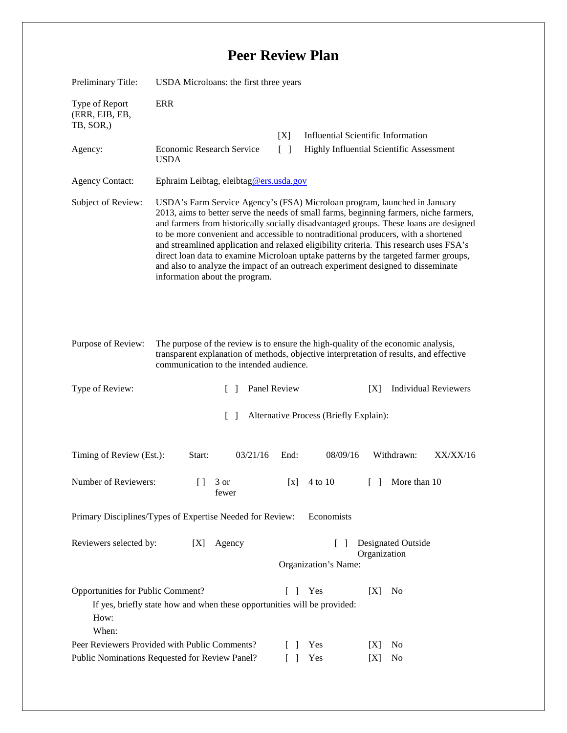## **Peer Review Plan**